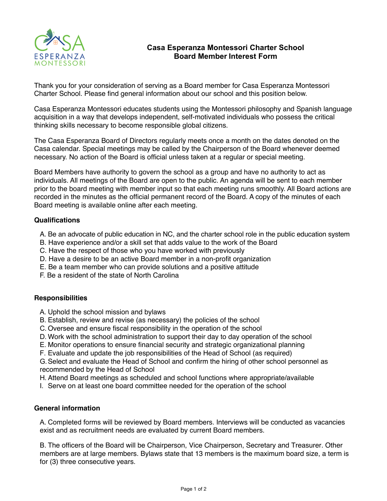

## **Casa Esperanza Montessori Charter School Board Member Interest Form**

Thank you for your consideration of serving as a Board member for Casa Esperanza Montessori Charter School. Please find general information about our school and this position below.

Casa Esperanza Montessori educates students using the Montessori philosophy and Spanish language acquisition in a way that develops independent, self-motivated individuals who possess the critical thinking skills necessary to become responsible global citizens.

The Casa Esperanza Board of Directors regularly meets once a month on the dates denoted on the Casa calendar. Special meetings may be called by the Chairperson of the Board whenever deemed necessary. No action of the Board is official unless taken at a regular or special meeting.

Board Members have authority to govern the school as a group and have no authority to act as individuals. All meetings of the Board are open to the public. An agenda will be sent to each member prior to the board meeting with member input so that each meeting runs smoothly. All Board actions are recorded in the minutes as the official permanent record of the Board. A copy of the minutes of each Board meeting is available online after each meeting.

### **Qualifications**

- A. Be an advocate of public education in NC, and the charter school role in the public education system
- B. Have experience and/or a skill set that adds value to the work of the Board
- C. Have the respect of those who you have worked with previously
- D. Have a desire to be an active Board member in a non-profit organization
- E. Be a team member who can provide solutions and a positive attitude
- F. Be a resident of the state of North Carolina

#### **Responsibilities**

- A. Uphold the school mission and bylaws
- B. Establish, review and revise (as necessary) the policies of the school
- C. Oversee and ensure fiscal responsibility in the operation of the school
- D. Work with the school administration to support their day to day operation of the school
- E. Monitor operations to ensure financial security and strategic organizational planning
- F. Evaluate and update the job responsibilities of the Head of School (as required)

G.Select and evaluate the Head of School and confirm the hiring of other school personnel as recommended by the Head of School

- H. Attend Board meetings as scheduled and school functions where appropriate/available
- I. Serve on at least one board committee needed for the operation of the school

#### **General information**

A. Completed forms will be reviewed by Board members. Interviews will be conducted as vacancies exist and as recruitment needs are evaluated by current Board members.

B. The officers of the Board will be Chairperson, Vice Chairperson, Secretary and Treasurer. Other members are at large members. Bylaws state that 13 members is the maximum board size, a term is for (3) three consecutive years.